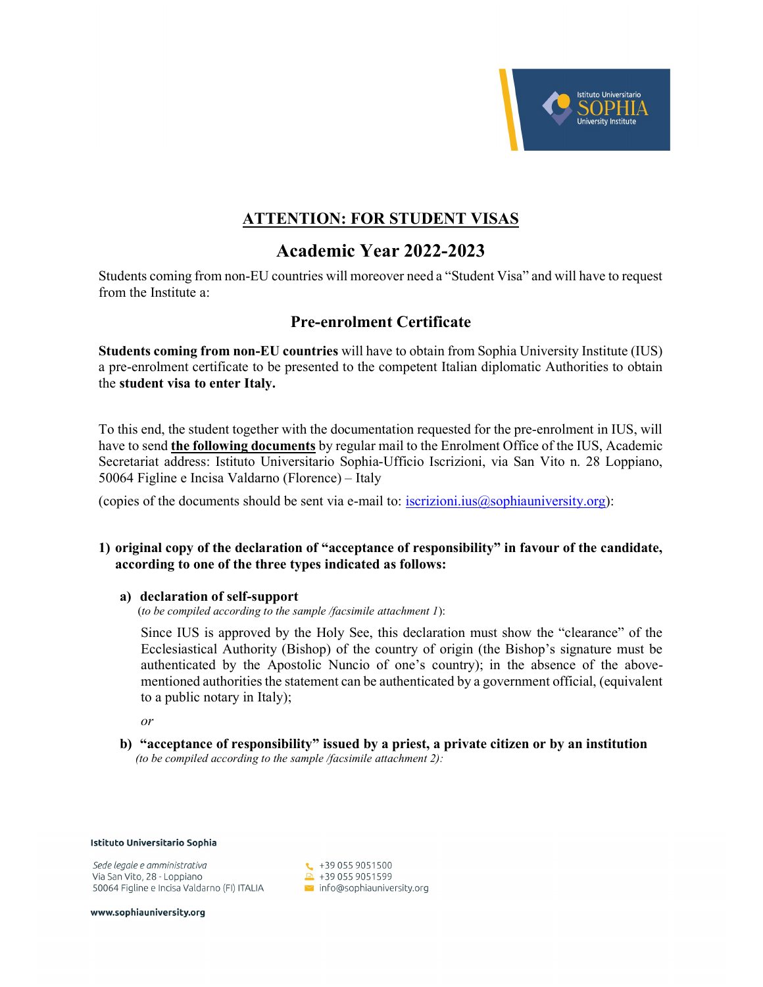

## ATTENTION: FOR STUDENT VISAS

# Academic Year 2022-2023

Students coming from non-EU countries will moreover need a "Student Visa" and will have to request from the Institute a:

## Pre-enrolment Certificate

Students coming from non-EU countries will have to obtain from Sophia University Institute (IUS) a pre-enrolment certificate to be presented to the competent Italian diplomatic Authorities to obtain the student visa to enter Italy.

To this end, the student together with the documentation requested for the pre-enrolment in IUS, will have to send the following documents by regular mail to the Enrolment Office of the IUS, Academic Secretariat address: Istituto Universitario Sophia-Ufficio Iscrizioni, via San Vito n. 28 Loppiano, 50064 Figline e Incisa Valdarno (Florence) – Italy

(copies of the documents should be sent via e-mail to: iscrizioni.ius $@$ sophiauniversity.org):

#### 1) original copy of the declaration of "acceptance of responsibility" in favour of the candidate, according to one of the three types indicated as follows:

#### a) declaration of self-support

(to be compiled according to the sample /facsimile attachment  $I$ ):

Since IUS is approved by the Holy See, this declaration must show the "clearance" of the Ecclesiastical Authority (Bishop) of the country of origin (the Bishop's signature must be authenticated by the Apostolic Nuncio of one's country); in the absence of the abovementioned authorities the statement can be authenticated by a government official, (equivalent to a public notary in Italy);

or

b) "acceptance of responsibility" issued by a priest, a private citizen or by an institution (to be compiled according to the sample /facsimile attachment 2):

Istituto Universitario Sophia

Sede legale e amministrativa Via San Vito, 28 - Loppiano 50064 Figline e Incisa Valdarno (FI) ITALIA

 $\leftarrow$  +39 055 9051500  $-4390559051599$  $\sim$  info@sophiauniversity.org

www.sophiauniversity.org